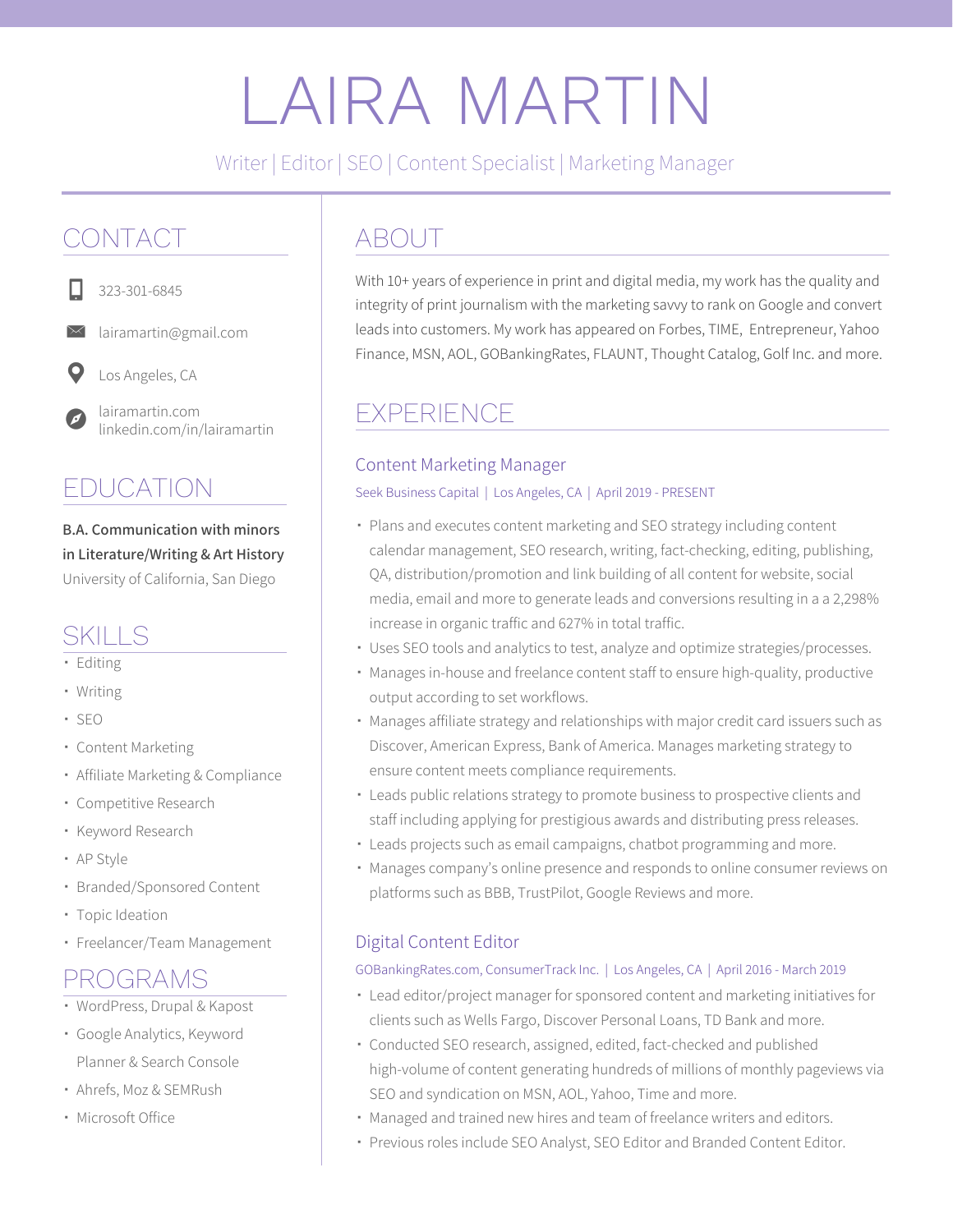# LAIRA MARTIN

Writer | Editor | SEO | Content Specialist | Marketing Manager

## CONTACT



323-301-6845

lairamartin@gmail.com



Los Angeles, CA

lairamartin.com linkedin.com/in/lairamartin

# EDUCATION

**B.A. Communication with minors in Literature/Writing & Art History** University of California, San Diego

## SKILLS

- Editing
- Writing
- SEO
- Content Marketing
- Affiliate Marketing & Compliance
- Competitive Research
- Keyword Research
- AP Style
- Branded/Sponsored Content
- Topic Ideation
- Freelancer/Team Management

## PROGRAMS

- WordPress, Drupal & Kapost
- Google Analytics, Keyword Planner & Search Console
- Ahrefs, Moz & SEMRush
- Microsoft Office

# ABOUT

With 10+ years of experience in print and digital media, my work has the quality and integrity of print journalism with the marketing savvy to rank on Google and convert leads into customers. My work has appeared on Forbes, TIME, Entrepreneur, Yahoo Finance, MSN, AOL, GOBankingRates, FLAUNT, Thought Catalog, Golf Inc. and more.

## EXPERIENCE

## Content Marketing Manager

Seek Business Capital | Los Angeles, CA | April 2019 - PRESENT

- Plans and executes content marketing and SEO strategy including content calendar management, SEO research, writing, fact-checking, editing, publishing, QA, distribution/promotion and link building of all content for website, social media, email and more to generate leads and conversions resulting in a a 2,298% increase in organic traffic and 627% in total traffic.
- Uses SEO tools and analytics to test, analyze and optimize strategies/processes.
- Manages in-house and freelance content staff to ensure high-quality, productive output according to set workflows.
- Manages affiliate strategy and relationships with major credit card issuers such as Discover, American Express, Bank of America. Manages marketing strategy to ensure content meets compliance requirements.
- Leads public relations strategy to promote business to prospective clients and staff including applying for prestigious awards and distributing press releases.
- Leads projects such as email campaigns, chatbot programming and more.
- Manages company's online presence and responds to online consumer reviews on platforms such as BBB, TrustPilot, Google Reviews and more.

## Digital Content Editor

#### GOBankingRates.com, ConsumerTrack Inc. | Los Angeles, CA | April 2016 - March 2019

- Lead editor/project manager for sponsored content and marketing initiatives for clients such as Wells Fargo, Discover Personal Loans, TD Bank and more.
- Conducted SEO research, assigned, edited, fact-checked and published high-volume of content generating hundreds of millions of monthly pageviews via SEO and syndication on MSN, AOL, Yahoo, Time and more.
- Managed and trained new hires and team of freelance writers and editors.
- Previous roles include SEO Analyst, SEO Editor and Branded Content Editor.